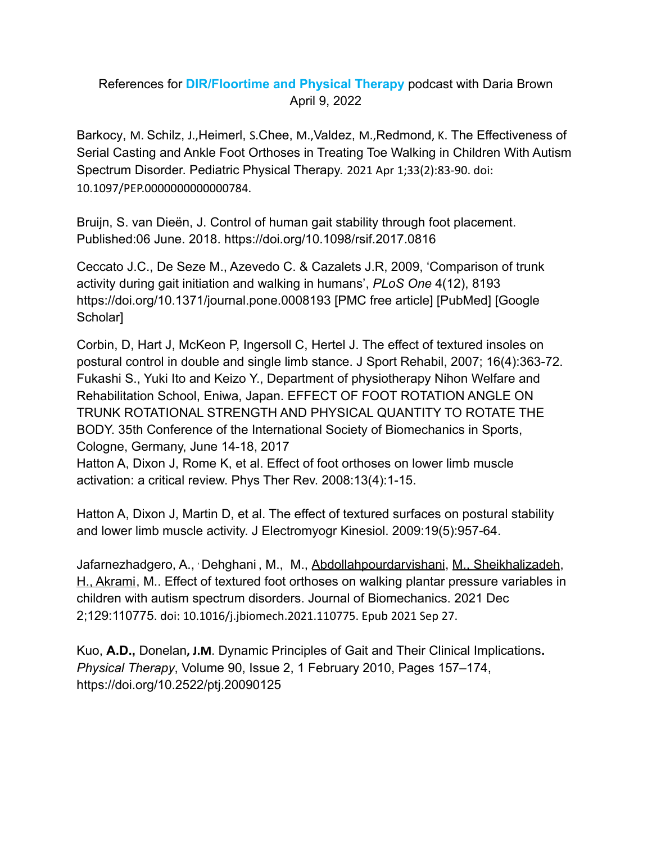## References for **[DIR/Floortime and Physical Therapy](https://affectautism.com/2022/04/09/pt/)** podcast with Daria Brown April 9, 2022

[Barkocy](https://pubmed.ncbi.nlm.nih.gov/?term=Barkocy+M&cauthor_id=33724238), M. [Schilz](https://pubmed.ncbi.nlm.nih.gov/?term=Schilz+J&cauthor_id=33724238), J.,[Heimerl,](https://pubmed.ncbi.nlm.nih.gov/?term=Heimerl+S&cauthor_id=33724238) S.[Chee,](https://pubmed.ncbi.nlm.nih.gov/?term=Chee+M&cauthor_id=33724238) M.,[Valdez](https://pubmed.ncbi.nlm.nih.gov/?term=Valdez+M&cauthor_id=33724238), M.,[Redmond](https://pubmed.ncbi.nlm.nih.gov/?term=Redmond+K&cauthor_id=33724238), K. The Effectiveness of Serial Casting and Ankle Foot Orthoses in Treating Toe Walking in Children With Autism Spectrum Disorder. Pediatric Physical Therapy. 2021 Apr 1;33(2):83-90. doi: 10.1097/PEP.0000000000000784.

[Bruijn,](https://royalsocietypublishing.org/doi/10.1098/rsif.2017.0816) S. van [Dieën](https://royalsocietypublishing.org/doi/10.1098/rsif.2017.0816), J. Control of human gait stability through foot placement. Published:06 June. 2018. <https://doi.org/10.1098/rsif.2017.0816>

Ceccato J.C., De Seze M., Azevedo C. & Cazalets J.R, 2009, 'Comparison of trunk activity during gait initiation and walking in humans', *PLoS One* 4(12), 8193 <https://doi.org/10.1371/journal.pone.0008193> [PMC [free article\]](https://www.ncbi.nlm.nih.gov/pmc/articles/PMC2782139/) [[PubMed](https://www.ncbi.nlm.nih.gov/pubmed/19997606)] [\[Google](https://scholar.google.com/scholar_lookup?journal=PLoS+One&title=Comparison+of+trunk+activity+during+gait+initiation+and+walking+in+humans&author=J.C+Ceccato&author=M+De+Seze&author=C+Azevedo&author=J.R+Cazalets&volume=4&issue=12&publication_year=2009&pages=8193&) [Scholar\]](https://scholar.google.com/scholar_lookup?journal=PLoS+One&title=Comparison+of+trunk+activity+during+gait+initiation+and+walking+in+humans&author=J.C+Ceccato&author=M+De+Seze&author=C+Azevedo&author=J.R+Cazalets&volume=4&issue=12&publication_year=2009&pages=8193&)

Corbin, D, Hart J, McKeon P, Ingersoll C, Hertel J. The effect of textured insoles on postural control in double and single limb stance. J Sport Rehabil, 2007; 16(4):363-72. Fukashi S., Yuki Ito and Keizo Y., Department of physiotherapy Nihon Welfare and Rehabilitation School, Eniwa, Japan. EFFECT OF FOOT ROTATION ANGLE ON TRUNK ROTATIONAL STRENGTH AND PHYSICAL QUANTITY TO ROTATE THE BODY. 35th Conference of the International Society of Biomechanics in Sports, Cologne, Germany, June 14-18, 2017

Hatton A, Dixon J, Rome K, et al. Effect of foot orthoses on lower limb muscle activation: a critical review. Phys Ther Rev. 2008:13(4):1-15.

Hatton A, Dixon J, Martin D, et al. The effect of textured surfaces on postural stability and lower limb muscle activity. J Electromyogr Kinesiol. 2009:19(5):957-64.

[Jafarnezhadgero](https://pubmed.ncbi.nlm.nih.gov/?term=Jafarnezhadgero+AA&cauthor_id=34600173), A., , [Dehghani](https://pubmed.ncbi.nlm.nih.gov/?term=Dehghani+M&cauthor_id=34600173) , M., M., [Abdollahpourdarvishani](https://pubmed.ncbi.nlm.nih.gov/?term=Abdollahpourdarvishani+M&cauthor_id=34600173), [M., Sheikhalizadeh](https://pubmed.ncbi.nlm.nih.gov/?term=Sheikhalizadeh+H&cauthor_id=34600173), [H., Akrami](https://pubmed.ncbi.nlm.nih.gov/?term=Akrami+M&cauthor_id=34600173), M.. Effect of textured foot orthoses on walking plantar pressure variables in children with autism spectrum disorders. Journal of Biomechanics. 2021 Dec 2;129:110775. doi: 10.1016/j.jbiomech.2021.110775. Epub 2021 Sep 27.

Kuo, **A.D.,** Donelan**, J.M**. Dynamic Principles of Gait and Their Clinical Implications**.** *Physical Therapy*, Volume 90, Issue 2, 1 February 2010, Pages 157–174, <https://doi.org/10.2522/ptj.20090125>